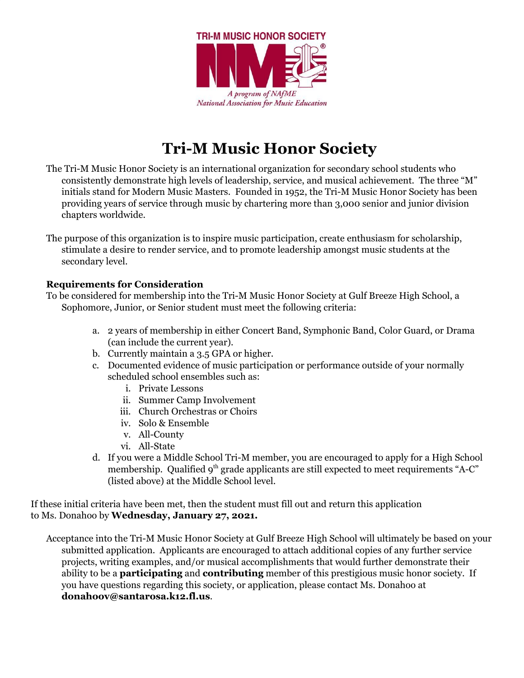

## **Tri-M Music Honor Society**

- The Tri-M Music Honor Society is an international organization for secondary school students who consistently demonstrate high levels of leadership, service, and musical achievement. The three "M" initials stand for Modern Music Masters. Founded in 1952, the Tri-M Music Honor Society has been providing years of service through music by chartering more than 3,000 senior and junior division chapters worldwide.
- The purpose of this organization is to inspire music participation, create enthusiasm for scholarship, stimulate a desire to render service, and to promote leadership amongst music students at the secondary level.

#### **Requirements for Consideration**

To be considered for membership into the Tri-M Music Honor Society at Gulf Breeze High School, a Sophomore, Junior, or Senior student must meet the following criteria:

- a. 2 years of membership in either Concert Band, Symphonic Band, Color Guard, or Drama (can include the current year).
- b. Currently maintain a 3.5 GPA or higher.
- c. Documented evidence of music participation or performance outside of your normally scheduled school ensembles such as:
	- i. Private Lessons
	- ii. Summer Camp Involvement
	- iii. Church Orchestras or Choirs
	- iv. Solo & Ensemble
	- v. All-County
	- vi. All-State
- d. If you were a Middle School Tri-M member, you are encouraged to apply for a High School membership. Qualified 9<sup>th</sup> grade applicants are still expected to meet requirements "A-C" (listed above) at the Middle School level.

If these initial criteria have been met, then the student must fill out and return this application to Ms. Donahoo by **Wednesday, January 27, 2021.**

Acceptance into the Tri-M Music Honor Society at Gulf Breeze High School will ultimately be based on your submitted application. Applicants are encouraged to attach additional copies of any further service projects, writing examples, and/or musical accomplishments that would further demonstrate their ability to be a **participating** and **contributing** member of this prestigious music honor society. If you have questions regarding this society, or application, please contact Ms. Donahoo at **donahoov@santarosa.k12.fl.us**.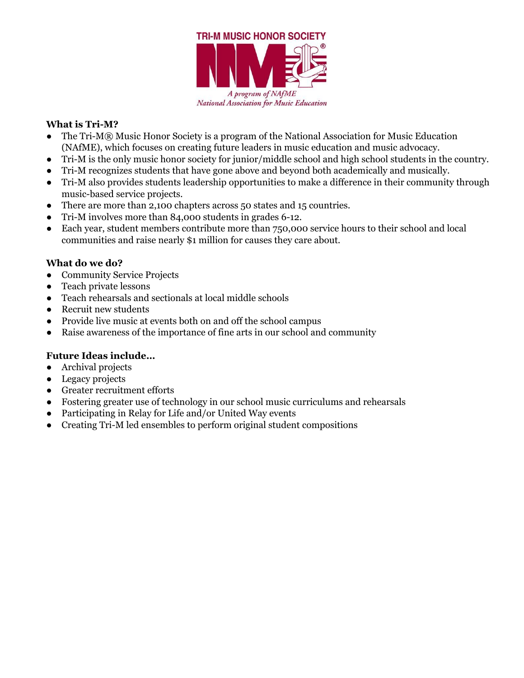

### **What is Tri-M?**

- The Tri-M® Music Honor Society is a program of the National Association for Music Education (NAfME), which focuses on creating future leaders in music education and music advocacy.
- Tri-M is the only music honor society for junior/middle school and high school students in the country.
- Tri-M recognizes students that have gone above and beyond both academically and musically.
- Tri-M also provides students leadership opportunities to make a difference in their community through music-based service projects.
- There are more than 2,100 chapters across 50 states and 15 countries.
- Tri-M involves more than 84,000 students in grades 6-12.
- Each year, student members contribute more than 750,000 service hours to their school and local communities and raise nearly \$1 million for causes they care about.

#### **What do we do?**

- Community Service Projects
- Teach private lessons
- Teach rehearsals and sectionals at local middle schools
- Recruit new students
- Provide live music at events both on and off the school campus
- Raise awareness of the importance of fine arts in our school and community

#### **Future Ideas include…**

- Archival projects
- Legacy projects
- Greater recruitment efforts
- Fostering greater use of technology in our school music curriculums and rehearsals
- Participating in Relay for Life and/or United Way events
- Creating Tri-M led ensembles to perform original student compositions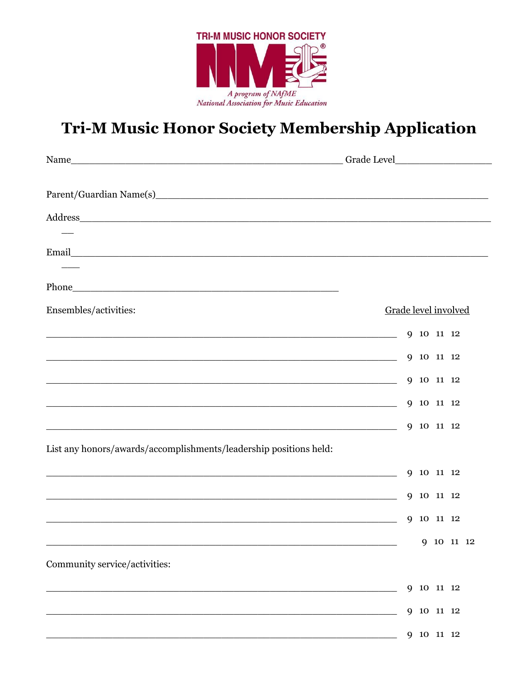

# Tri-M Music Honor Society Membership Application

| Parent/Guardian Name(s) 2014 19:30 19:30 19:30 19:30 19:30 19:30 19:30 19:30 19:30 19:30 19:30 19:30 19:30 19:30 19:30 19:30 19:30 19:30 19:30 19:30 19:30 19:30 19:30 19:30 19:30 19:30 19:30 19:30 19:30 19:30 19:30 19:30 1 |                      |
|--------------------------------------------------------------------------------------------------------------------------------------------------------------------------------------------------------------------------------|----------------------|
| Address and the contract of the contract of the contract of the contract of the contract of the contract of the contract of the contract of the contract of the contract of the contract of the contract of the contract of th |                      |
|                                                                                                                                                                                                                                |                      |
|                                                                                                                                                                                                                                |                      |
| Ensembles/activities:                                                                                                                                                                                                          | Grade level involved |
|                                                                                                                                                                                                                                | 9 10 11 12           |
| <u> 1989 - Johann Stoff, deutscher Stoffen und der Stoffen und der Stoffen und der Stoffen und der Stoffen und de</u>                                                                                                          | 9 10 11 12           |
| $\sim$ 9 10 11 12                                                                                                                                                                                                              |                      |
|                                                                                                                                                                                                                                | 9 10 11 12           |
| <u> Andreas Andreas Andreas Andreas Andreas Andreas Andreas Andreas Andreas Andreas Andreas Andreas Andreas Andr</u>                                                                                                           | 9 10 11 12           |
| List any honors/awards/accomplishments/leadership positions held:                                                                                                                                                              |                      |
| <u> 1989 - Jan James James Barnett, fransk politik (d. 1989)</u>                                                                                                                                                               | 9 10 11 12           |
| <u> 1989 - Johann John Stoff, deutscher Stoffen und der Stoffen und der Stoffen und der Stoffen und der Stoffen u</u>                                                                                                          | 9 10 11 12           |
|                                                                                                                                                                                                                                | 9 10 11 12           |
|                                                                                                                                                                                                                                | 9 10 11 12           |
| Community service/activities:                                                                                                                                                                                                  |                      |
|                                                                                                                                                                                                                                | 9 10 11 12           |
|                                                                                                                                                                                                                                | 10 11 12<br>9        |
|                                                                                                                                                                                                                                | 9 10 11 12           |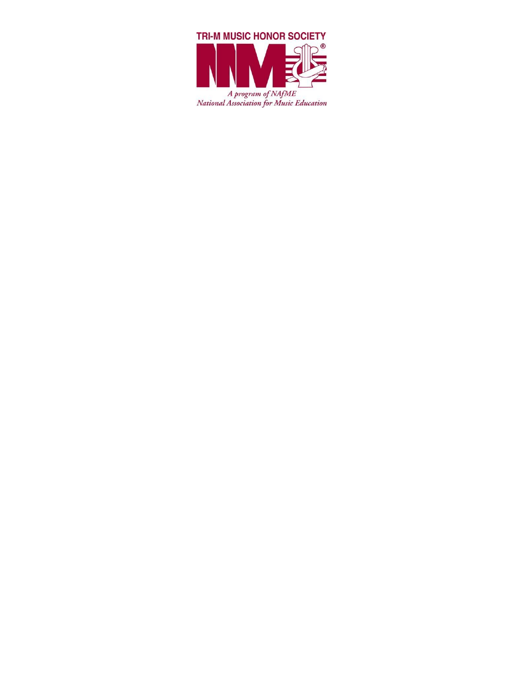